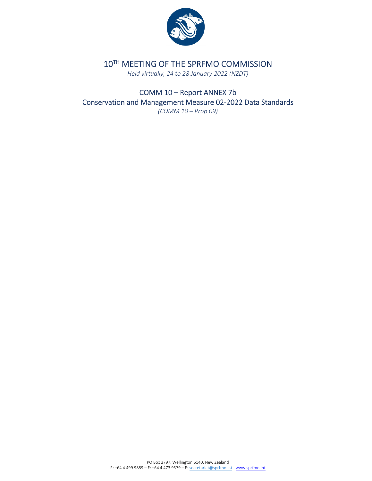

# 10TH MEETING OF THE SPRFMO COMMISSION

*Held virtually, 24 to 28 January 2022 (NZDT)*

COMM 10 – Report ANNEX 7b Conservation and Management Measure 02‐2022 Data Standards *(COMM 10 – Prop 09)*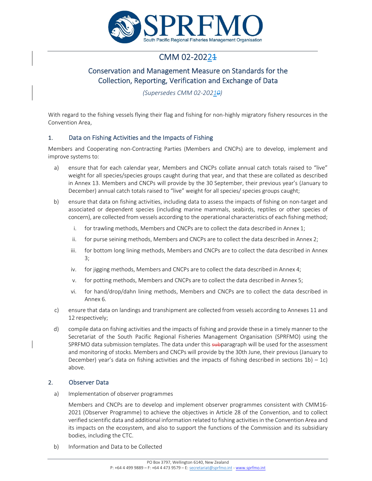

# CMM 02-2022<del>1</del>

## Conservation and Management Measure on Standards for the Collection, Reporting, Verification and Exchange of Data

*(Supersedes CMM 02‐20210)*

With regard to the fishing vessels flying their flag and fishing for non‐highly migratory fishery resources in the Convention Area,

## 1. Data on Fishing Activities and the Impacts of Fishing

Members and Cooperating non‐Contracting Parties (Members and CNCPs) are to develop, implement and improve systems to:

- a) ensure that for each calendar year, Members and CNCPs collate annual catch totals raised to "live" weight for all species/species groups caught during that year, and that these are collated as described in Annex 13. Members and CNCPs will provide by the 30 September, their previous year's (January to December) annual catch totals raised to "live" weight for all species/ species groups caught;
- b) ensure that data on fishing activities, including data to assess the impacts of fishing on non‐target and associated or dependent species (including marine mammals, seabirds, reptiles or other species of concern), are collected from vessels according to the operational characteristics of each fishing method;
	- i. for trawling methods, Members and CNCPs are to collect the data described in Annex 1;
	- ii. for purse seining methods, Members and CNCPs are to collect the data described in Annex 2;
	- iii. for bottom long lining methods, Members and CNCPs are to collect the data described in Annex 3;
	- iv. for jigging methods, Members and CNCPs are to collect the data described in Annex 4;
	- v. for potting methods, Members and CNCPs are to collect the data described in Annex 5;
	- vi. for hand/drop/dahn lining methods, Members and CNCPs are to collect the data described in Annex 6.
- c) ensure that data on landings and transhipment are collected from vessels according to Annexes 11 and 12 respectively;
- d) compile data on fishing activities and the impacts of fishing and provide these in a timely manner to the Secretariat of the South Pacific Regional Fisheries Management Organisation (SPRFMO) using the SPRFMO data submission templates. The data under this subparagraph will be used for the assessment and monitoring of stocks. Members and CNCPs will provide by the 30th June, their previous (January to December) year's data on fishing activities and the impacts of fishing described in sections  $1b$ ) – 1c) above.

## 2. Observer Data

a) Implementation of observer programmes

Members and CNCPs are to develop and implement observer programmes consistent with CMM16‐ 2021 (Observer Programme) to achieve the objectives in Article 28 of the Convention, and to collect verified scientific data and additional information related to fishing activitiesin the Convention Area and its impacts on the ecosystem, and also to support the functions of the Commission and its subsidiary bodies, including the CTC.

b) Information and Data to be Collected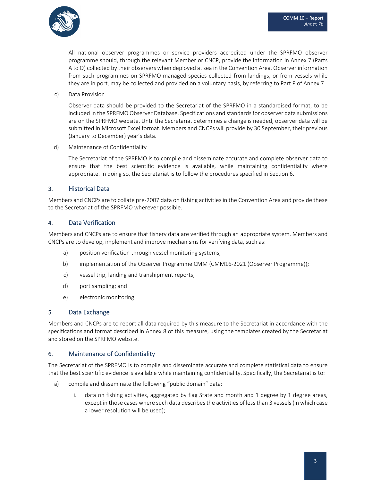

All national observer programmes or service providers accredited under the SPRFMO observer programme should, through the relevant Member or CNCP, provide the information in Annex 7 (Parts A to O) collected by their observers when deployed at sea in the Convention Area. Observer information from such programmes on SPRFMO-managed species collected from landings, or from vessels while they are in port, may be collected and provided on a voluntary basis, by referring to Part P of Annex 7.

c) Data Provision

Observer data should be provided to the Secretariat of the SPRFMO in a standardised format, to be included in the SPRFMO Observer Database. Specifications and standards for observer data submissions are on the SPRFMO website. Until the Secretariat determines a change is needed, observer data will be submitted in Microsoft Excel format. Members and CNCPs will provide by 30 September, their previous (January to December) year's data.

d) Maintenance of Confidentiality

The Secretariat of the SPRFMO is to compile and disseminate accurate and complete observer data to ensure that the best scientific evidence is available, while maintaining confidentiality where appropriate. In doing so, the Secretariat is to follow the procedures specified in Section 6.

## 3. Historical Data

Members and CNCPs are to collate pre-2007 data on fishing activities in the Convention Area and provide these to the Secretariat of the SPRFMO wherever possible.

## 4. Data Verification

Members and CNCPs are to ensure that fishery data are verified through an appropriate system. Members and CNCPs are to develop, implement and improve mechanisms for verifying data, such as:

- a) position verification through vessel monitoring systems;
- b) implementation of the Observer Programme CMM (CMM16-2021 (Observer Programme));
- c) vessel trip, landing and transhipment reports;
- d) port sampling; and
- e) electronic monitoring.

#### 5. Data Exchange

Members and CNCPs are to report all data required by this measure to the Secretariat in accordance with the specifications and format described in Annex 8 of this measure, using the templates created by the Secretariat and stored on the SPRFMO website.

#### 6. Maintenance of Confidentiality

The Secretariat of the SPRFMO is to compile and disseminate accurate and complete statistical data to ensure that the best scientific evidence is available while maintaining confidentiality. Specifically, the Secretariat is to:

- a) compile and disseminate the following "public domain" data:
	- i. data on fishing activities, aggregated by flag State and month and 1 degree by 1 degree areas, except in those cases where such data describes the activities of less than 3 vessels (in which case a lower resolution will be used);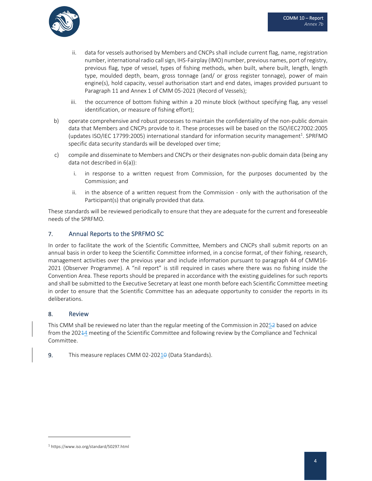

- ii. data for vessels authorised by Members and CNCPs shall include current flag, name, registration number, international radio call sign, IHS-Fairplay (IMO) number, previous names, port of registry, previous flag, type of vessel, types of fishing methods, when built, where built, length, length type, moulded depth, beam, gross tonnage (and/ or gross register tonnage), power of main engine(s), hold capacity, vessel authorisation start and end dates, images provided pursuant to Paragraph 11 and Annex 1 of CMM 05‐2021 (Record of Vessels);
- iii. the occurrence of bottom fishing within a 20 minute block (without specifying flag, any vessel identification, or measure of fishing effort);
- b) operate comprehensive and robust processes to maintain the confidentiality of the non-public domain data that Members and CNCPs provide to it. These processes will be based on the ISO/IEC27002:2005 (updates ISO/IEC 17799:2005) international standard for information security management<sup>1</sup>. SPRFMO specific data security standards will be developed over time;
- c) compile and disseminate to Members and CNCPs or their designates non‐public domain data (being any data not described in 6(a)):
	- i. in response to a written request from Commission, for the purposes documented by the Commission; and
	- ii. in the absence of a written request from the Commission only with the authorisation of the Participant(s) that originally provided that data.

These standards will be reviewed periodically to ensure that they are adequate for the current and foreseeable needs of the SPRFMO.

## 7. Annual Reports to the SPRFMO SC

In order to facilitate the work of the Scientific Committee, Members and CNCPs shall submit reports on an annual basis in order to keep the Scientific Committee informed, in a concise format, of their fishing, research, management activities over the previous year and include information pursuant to paragraph 44 of CMM16‐ 2021 (Observer Programme). A "nil report" is still required in cases where there was no fishing inside the Convention Area. These reports should be prepared in accordance with the existing guidelines for such reports and shall be submitted to the Executive Secretary at least one month before each Scientific Committee meeting in order to ensure that the Scientific Committee has an adequate opportunity to consider the reports in its deliberations.

#### 8. Review

This CMM shall be reviewed no later than the regular meeting of the Commission in 20252 based on advice from the 20244 meeting of the Scientific Committee and following review by the Compliance and Technical Committee.

9. This measure replaces CMM 02-20210 (Data Standards).

<sup>1</sup> https://www.iso.org/standard/50297.html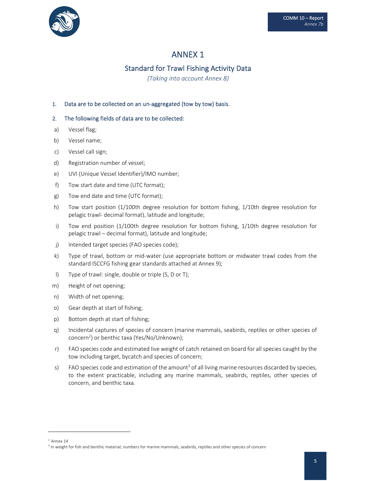

## Standard for Trawl Fishing Activity Data

*(Taking into account Annex 8)*

## 1. Data are to be collected on an un-aggregated (tow by tow) basis.

- a) Vessel flag;
- b) Vessel name;
- c) Vessel call sign;
- d) Registration number of vessel;
- e) UVI (Unique Vessel Identifier)/IMO number;
- f) Tow start date and time (UTC format);
- g) Tow end date and time (UTC format);
- h) Tow start position (1/100th degree resolution for bottom fishing, 1/10th degree resolution for pelagic trawl‐ decimal format), latitude and longitude;
- i) Tow end position (1/100th degree resolution for bottom fishing, 1/10th degree resolution for pelagic trawl – decimal format), latitude and longitude;
- j) Intended target species (FAO species code);
- k) Type of trawl, bottom or mid‐water (use appropriate bottom or midwater trawl codes from the standard ISCCFG fishing gear standards attached at Annex 9);
- l) Type of trawl: single, double or triple (S, D or T);
- m) Height of net opening;
- n) Width of net opening;
- o) Gear depth at start of fishing;
- p) Bottom depth at start of fishing;
- q) Incidental captures of species of concern (marine mammals, seabirds, reptiles or other species of concern<sup>2</sup>) or benthic taxa (Yes/No/Unknown);
- r) FAO species code and estimated live weight of catch retained on board for all species caught by the tow including target, bycatch and species of concern;
- s) FAO species code and estimation of the amount<sup>3</sup> of all living marine resources discarded by species, to the extent practicable, including any marine mammals, seabirds, reptiles, other species of concern, and benthic taxa.

 $2$  Annex 14

<sup>&</sup>lt;sup>3</sup> In weight for fish and benthic material; numbers for marine mammals, seabirds, reptiles and other species of concern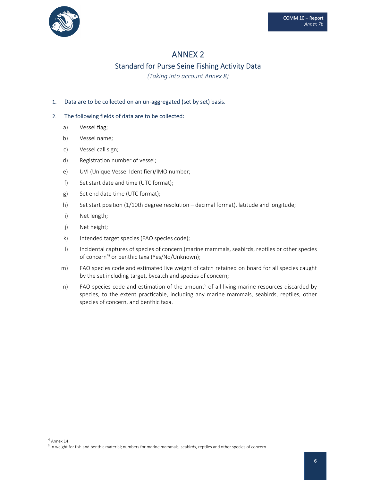

# ANNEX 2 Standard for Purse Seine Fishing Activity Data

*(Taking into account Annex 8)*

### 1. Data are to be collected on an un-aggregated (set by set) basis.

- a) Vessel flag;
- b) Vessel name;
- c) Vessel call sign;
- d) Registration number of vessel;
- e) UVI (Unique Vessel Identifier)/IMO number;
- f) Set start date and time (UTC format);
- g) Set end date time (UTC format);
- h) Set start position (1/10th degree resolution decimal format), latitude and longitude;
- i) Net length;
- j) Net height;
- k) Intended target species (FAO species code);
- l) Incidental captures of species of concern (marine mammals, seabirds, reptiles or other species of concern<sup>4)</sup> or benthic taxa (Yes/No/Unknown);
- m) FAO species code and estimated live weight of catch retained on board for all species caught by the set including target, bycatch and species of concern;
- n) FAO species code and estimation of the amount<sup>5</sup> of all living marine resources discarded by species, to the extent practicable, including any marine mammals, seabirds, reptiles, other species of concern, and benthic taxa.

<sup>4</sup> Annex 14

<sup>5</sup> In weight for fish and benthic material; numbers for marine mammals, seabirds, reptiles and other species of concern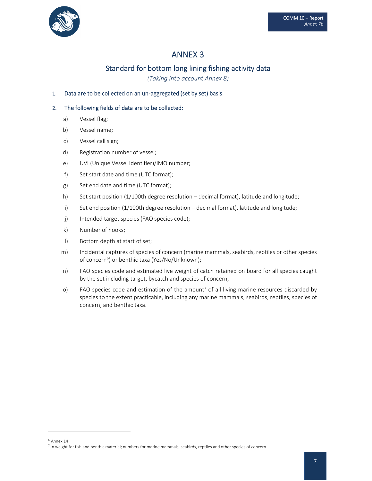

## Standard for bottom long lining fishing activity data

*(Taking into account Annex 8)*

## 1. Data are to be collected on an un-aggregated (set by set) basis.

- a) Vessel flag;
- b) Vessel name;
- c) Vessel call sign;
- d) Registration number of vessel;
- e) UVI (Unique Vessel Identifier)/IMO number;
- f) Set start date and time (UTC format);
- g) Set end date and time (UTC format);
- h) Set start position (1/100th degree resolution decimal format), latitude and longitude;
- i) Set end position (1/100th degree resolution decimal format), latitude and longitude;
- j) Intended target species (FAO species code);
- k) Number of hooks;
- l) Bottom depth at start of set;
- m) Incidental captures of species of concern (marine mammals, seabirds, reptiles or other species of concern<sup>6</sup>) or benthic taxa (Yes/No/Unknown);
- n) FAO species code and estimated live weight of catch retained on board for all species caught by the set including target, bycatch and species of concern;
- o) FAO species code and estimation of the amount<sup>7</sup> of all living marine resources discarded by species to the extent practicable, including any marine mammals, seabirds, reptiles, species of concern, and benthic taxa.

 $6$  Annex 14

 $7$  In weight for fish and benthic material; numbers for marine mammals, seabirds, reptiles and other species of concern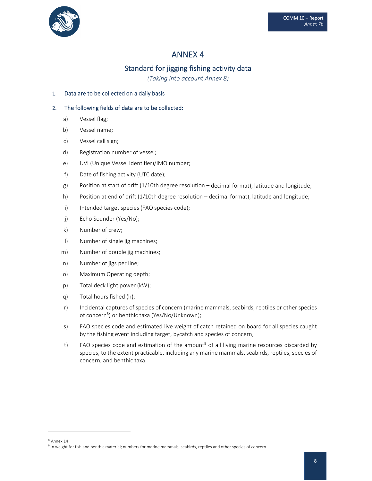

# Standard for jigging fishing activity data

*(Taking into account Annex 8)*

## 1. Data are to be collected on a daily basis

## 2. The following fields of data are to be collected:

- a) Vessel flag;
- b) Vessel name;
- c) Vessel call sign;
- d) Registration number of vessel;
- e) UVI (Unique Vessel Identifier)/IMO number;
- f) Date of fishing activity (UTC date);
- g) Position at start of drift (1/10th degree resolution decimal format), latitude and longitude;
- h) Position at end of drift (1/10th degree resolution decimal format), latitude and longitude;
- i) Intended target species (FAO species code);
- j) Echo Sounder (Yes/No);
- k) Number of crew;
- l) Number of single jig machines;
- m) Number of double jig machines;
- n) Number of jigs per line;
- o) Maximum Operating depth;
- p) Total deck light power (kW);
- q) Total hours fished (h);
- r) Incidental captures of species of concern (marine mammals, seabirds, reptiles or other species of concern<sup>8</sup>) or benthic taxa (Yes/No/Unknown);
- s) FAO species code and estimated live weight of catch retained on board for all species caught by the fishing event including target, bycatch and species of concern;
- t) FAO species code and estimation of the amount<sup>9</sup> of all living marine resources discarded by species, to the extent practicable, including any marine mammals, seabirds, reptiles, species of concern, and benthic taxa.

<sup>8</sup> Annex 14

<sup>&</sup>lt;sup>9</sup> In weight for fish and benthic material; numbers for marine mammals, seabirds, reptiles and other species of concern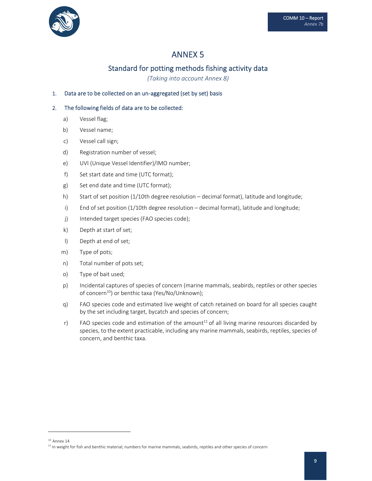

## Standard for potting methods fishing activity data

*(Taking into account Annex 8)*

## 1. Data are to be collected on an un‐aggregated (set by set) basis

- a) Vessel flag;
- b) Vessel name;
- c) Vessel call sign;
- d) Registration number of vessel;
- e) UVI (Unique Vessel Identifier)/IMO number;
- f) Set start date and time (UTC format);
- g) Set end date and time (UTC format);
- h) Start of set position (1/10th degree resolution decimal format), latitude and longitude;
- i) End of set position (1/10th degree resolution decimal format), latitude and longitude;
- j) Intended target species (FAO species code);
- k) Depth at start of set;
- l) Depth at end of set;
- m) Type of pots;
- n) Total number of pots set;
- o) Type of bait used;
- p) Incidental captures of species of concern (marine mammals, seabirds, reptiles or other species of concern<sup>10</sup>) or benthic taxa (Yes/No/Unknown);
- q) FAO species code and estimated live weight of catch retained on board for all species caught by the set including target, bycatch and species of concern;
- $r$ ) FAO species code and estimation of the amount<sup>11</sup> of all living marine resources discarded by species, to the extent practicable, including any marine mammals, seabirds, reptiles, species of concern, and benthic taxa.

 $10$  Annex 14

 $11$  In weight for fish and benthic material; numbers for marine mammals, seabirds, reptiles and other species of concern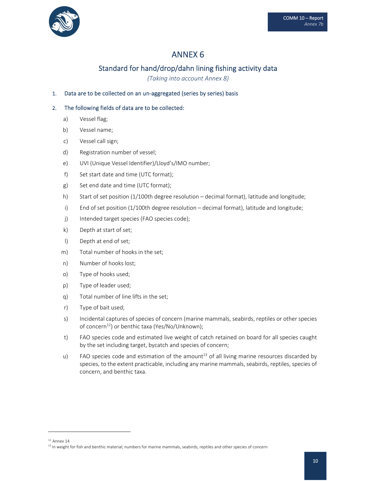

## Standard for hand/drop/dahn lining fishing activity data

*(Taking into account Annex 8)*

## 1. Data are to be collected on an un-aggregated (series by series) basis

- a) Vessel flag;
- b) Vessel name;
- c) Vessel call sign;
- d) Registration number of vessel;
- e) UVI (Unique Vessel Identifier)/Lloyd's/IMO number;
- f) Set start date and time (UTC format);
- g) Set end date and time (UTC format);
- h) Start of set position (1/100th degree resolution decimal format), latitude and longitude;
- i) End of set position (1/100th degree resolution decimal format), latitude and longitude;
- j) Intended target species (FAO species code);
- k) Depth at start of set;
- l) Depth at end of set;
- m) Total number of hooks in the set;
- n) Number of hooks lost;
- o) Type of hooks used;
- p) Type of leader used;
- q) Total number of line lifts in the set;
- r) Type of bait used;
- s) Incidental captures of species of concern (marine mammals, seabirds, reptiles or other species of concern<sup>12</sup>) or benthic taxa (Yes/No/Unknown);
- t) FAO species code and estimated live weight of catch retained on board for all species caught by the set including target, bycatch and species of concern;
- u) FAO species code and estimation of the amount<sup>13</sup> of all living marine resources discarded by species, to the extent practicable, including any marine mammals, seabirds, reptiles, species of concern, and benthic taxa.

 $12$  Annex 14

<sup>&</sup>lt;sup>13</sup> In weight for fish and benthic material; numbers for marine mammals, seabirds, reptiles and other species of concern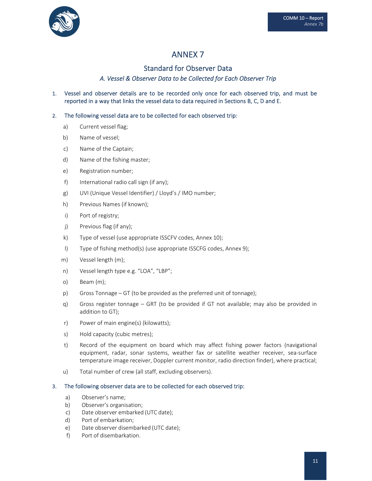

## Standard for Observer Data

## A. Vessel & Observer Data to be Collected for Each Observer Trip

1. Vessel and observer details are to be recorded only once for each observed trip, and must be reported in a way that links the vessel data to data required in Sections B, C, D and E.

## 2. The following vessel data are to be collected for each observed trip:

- a) Current vessel flag;
- b) Name of vessel;
- c) Name of the Captain;
- d) Name of the fishing master;
- e) Registration number;
- f) International radio call sign (if any);
- g) UVI (Unique Vessel Identifier) / Lloyd's / IMO number;
- h) Previous Names (if known);
- i) Port of registry;
- j) Previous flag (if any);
- k) Type of vessel (use appropriate ISSCFV codes, Annex 10);
- l) Type of fishing method(s) (use appropriate ISSCFG codes, Annex 9);
- m) Vessel length (m);
- n) Vessel length type e.g. "LOA", "LBP";
- o) Beam (m);
- p) Gross Tonnage GT (to be provided as the preferred unit of tonnage);
- q) Gross register tonnage GRT (to be provided if GT not available; may also be provided in addition to GT);
- r) Power of main engine(s) (kilowatts);
- s) Hold capacity (cubic metres);
- t) Record of the equipment on board which may affect fishing power factors (navigational equipment, radar, sonar systems, weather fax or satellite weather receiver, sea‐surface temperature image receiver, Doppler current monitor, radio direction finder), where practical;
- u) Total number of crew (all staff, excluding observers).

#### 3. The following observer data are to be collected for each observed trip:

- a) Observer's name;
- b) Observer's organisation;
- c) Date observer embarked (UTC date);
- d) Port of embarkation;
- e) Date observer disembarked (UTC date);
- f) Port of disembarkation.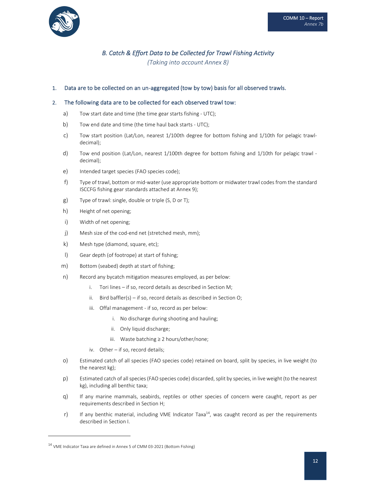

## B. Catch & Effort Data to be Collected for Trawl Fishing Activity

*(Taking into account Annex 8)*

#### 1. Data are to be collected on an un‐aggregated (tow by tow) basis for all observed trawls.

#### 2. The following data are to be collected for each observed trawl tow:

- a) Tow start date and time (the time gear starts fishing UTC);
- b) Tow end date and time (the time haul back starts UTC);
- c) Tow start position (Lat/Lon, nearest 1/100th degree for bottom fishing and 1/10th for pelagic trawl‐ decimal);
- d) Tow end position (Lat/Lon, nearest 1/100th degree for bottom fishing and 1/10th for pelagic trawl decimal);
- e) Intended target species (FAO species code);
- f) Type of trawl, bottom or mid‐water (use appropriate bottom or midwater trawl codes from the standard ISCCFG fishing gear standards attached at Annex 9);
- g) Type of trawl: single, double or triple (S, D or T);
- h) Height of net opening;
- i) Width of net opening;
- j) Mesh size of the cod-end net (stretched mesh, mm);
- k) Mesh type (diamond, square, etc);
- l) Gear depth (of footrope) at start of fishing;
- m) Bottom (seabed) depth at start of fishing;
- n) Record any bycatch mitigation measures employed, as per below:
	- i. Tori lines if so, record details as described in Section M;
	- ii. Bird baffler(s) if so, record details as described in Section O;
	- iii. Offal management if so, record as per below:
		- i. No discharge during shooting and hauling;
		- ii. Only liquid discharge;
		- iii. Waste batching ≥ 2 hours/other/none;
	- iv. Other if so, record details;
- o) Estimated catch of all species (FAO species code) retained on board, split by species, in live weight (to the nearest kg);
- p) Estimated catch of all species (FAO species code) discarded, split by species, in live weight (to the nearest kg), including all benthic taxa;
- q) If any marine mammals, seabirds, reptiles or other species of concern were caught, report as per requirements described in Section H;
- r) If any benthic material, including VME Indicator Taxa<sup>14</sup>, was caught record as per the requirements described in Section I.

<sup>&</sup>lt;sup>14</sup> VME Indicator Taxa are defined in Annex 5 of CMM 03-2021 (Bottom Fishing)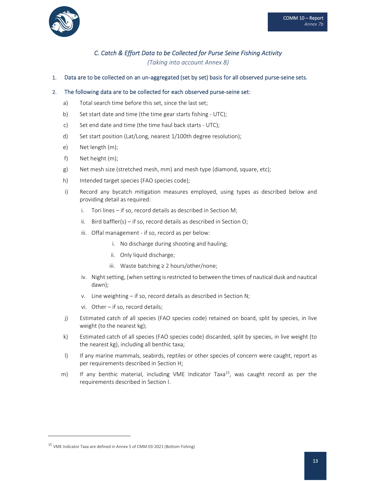

## C. Catch & Effort Data to be Collected for Purse Seine Fishing Activity

*(Taking into account Annex 8)*

1. Data are to be collected on an un-aggregated (set by set) basis for all observed purse-seine sets.

#### 2. The following data are to be collected for each observed purse-seine set:

- a) Total search time before this set, since the last set;
- b) Set start date and time (the time gear starts fishing UTC);
- c) Set end date and time (the time haul back starts ‐ UTC);
- d) Set start position (Lat/Long, nearest 1/100th degree resolution);
- e) Net length (m);
- f) Net height (m);
- g) Net mesh size (stretched mesh, mm) and mesh type (diamond, square, etc);
- h) Intended target species (FAO species code);
- i) Record any bycatch mitigation measures employed, using types as described below and providing detail as required:
	- i. Tori lines if so, record details as described in Section M;
	- ii. Bird baffler(s) if so, record details as described in Section O;
	- iii. Offal management if so, record as per below:
		- i. No discharge during shooting and hauling;
		- ii. Only liquid discharge;
		- iii. Waste batching ≥ 2 hours/other/none;
	- iv. Night setting, (when setting is restricted to between the times of nautical dusk and nautical dawn);
	- v. Line weighting if so, record details as described in Section N;
	- vi. Other if so, record details;
- j) Estimated catch of all species (FAO species code) retained on board, split by species, in live weight (to the nearest kg);
- k) Estimated catch of all species (FAO species code) discarded, split by species, in live weight (to the nearest kg), including all benthic taxa;
- I) If any marine mammals, seabirds, reptiles or other species of concern were caught, report as per requirements described in Section H;
- m) If any benthic material, including VME Indicator Taxa<sup>15</sup>, was caught record as per the requirements described in Section I.

<sup>&</sup>lt;sup>15</sup> VME Indicator Taxa are defined in Annex 5 of CMM 03-2021 (Bottom Fishing)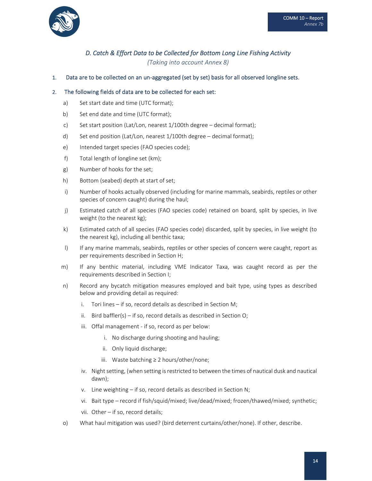

# D. Catch & Effort Data to be Collected for Bottom Long Line Fishing Activity

*(Taking into account Annex 8)*

1. Data are to be collected on an un-aggregated (set by set) basis for all observed longline sets.

#### 2. The following fields of data are to be collected for each set:

- a) Set start date and time (UTC format);
- b) Set end date and time (UTC format);
- c) Set start position (Lat/Lon, nearest 1/100th degree decimal format);
- d) Set end position (Lat/Lon, nearest 1/100th degree decimal format);
- e) Intended target species (FAO species code);
- f) Total length of longline set (km);
- g) Number of hooks for the set;
- h) Bottom (seabed) depth at start of set;
- i) Number of hooks actually observed (including for marine mammals, seabirds, reptiles or other species of concern caught) during the haul;
- j) Estimated catch of all species (FAO species code) retained on board, split by species, in live weight (to the nearest kg);
- k) Estimated catch of all species (FAO species code) discarded, split by species, in live weight (to the nearest kg), including all benthic taxa;
- I) If any marine mammals, seabirds, reptiles or other species of concern were caught, report as per requirements described in Section H;
- m) If any benthic material, including VME Indicator Taxa, was caught record as per the requirements described in Section I;
- n) Record any bycatch mitigation measures employed and bait type, using types as described below and providing detail as required:
	- i. Tori lines if so, record details as described in Section M;
	- ii. Bird baffler(s) if so, record details as described in Section O;
	- iii. Offal management ‐ if so, record as per below:
		- i. No discharge during shooting and hauling;
		- ii. Only liquid discharge;
		- iii. Waste batching ≥ 2 hours/other/none;
	- iv. Night setting, (when setting is restricted to between the times of nautical dusk and nautical dawn);
	- v. Line weighting if so, record details as described in Section N;
	- vi. Bait type record if fish/squid/mixed; live/dead/mixed; frozen/thawed/mixed; synthetic;
	- vii. Other if so, record details;
- o) What haul mitigation was used? (bird deterrent curtains/other/none). If other, describe.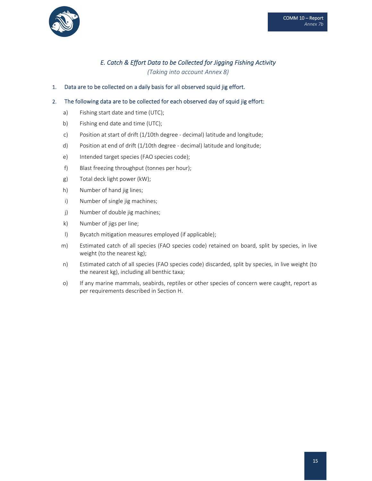

# E. Catch & Effort Data to be Collected for Jigging Fishing Activity

*(Taking into account Annex 8)*

1. Data are to be collected on a daily basis for all observed squid jig effort.

### 2. The following data are to be collected for each observed day of squid jig effort:

- a) Fishing start date and time (UTC);
- b) Fishing end date and time (UTC);
- c) Position at start of drift (1/10th degree ‐ decimal) latitude and longitude;
- d) Position at end of drift (1/10th degree ‐ decimal) latitude and longitude;
- e) Intended target species (FAO species code);
- f) Blast freezing throughput (tonnes per hour);
- g) Total deck light power (kW);
- h) Number of hand jig lines;
- i) Number of single jig machines;
- j) Number of double jig machines;
- k) Number of jigs per line;
- l) Bycatch mitigation measures employed (if applicable);
- m) Estimated catch of all species (FAO species code) retained on board, split by species, in live weight (to the nearest kg);
- n) Estimated catch of all species (FAO species code) discarded, split by species, in live weight (to the nearest kg), including all benthic taxa;
- o) If any marine mammals, seabirds, reptiles or other species of concern were caught, report as per requirements described in Section H.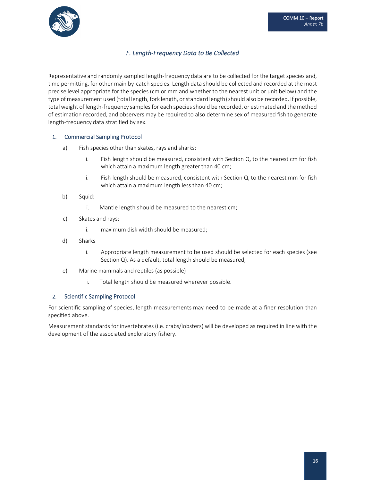

## *F. Length‐Frequency Data to Be Collected*

Representative and randomly sampled length-frequency data are to be collected for the target species and, time permitting, for other main by‐catch species. Length data should be collected and recorded at the most precise level appropriate for the species (cm or mm and whether to the nearest unit or unit below) and the type of measurement used (total length, fork length, or standard length) should also be recorded. If possible, total weight of length-frequency samples for each species should be recorded, or estimated and the method of estimation recorded, and observers may be required to also determine sex of measured fish to generate length‐frequency data stratified by sex.

#### 1. Commercial Sampling Protocol

- a) Fish species other than skates, rays and sharks:
	- i. Fish length should be measured, consistent with Section Q, to the nearest cm for fish which attain a maximum length greater than 40 cm;
	- ii. Fish length should be measured, consistent with Section  $Q$ , to the nearest mm for fish which attain a maximum length less than 40 cm;
- b) Squid:
	- i. Mantle length should be measured to the nearest cm;
- c) Skates and rays:
	- i. maximum disk width should be measured;
- d) Sharks
	- i. Appropriate length measurement to be used should be selected for each species (see Section Q). As a default, total length should be measured;
- e) Marine mammals and reptiles (as possible)
	- i. Total length should be measured wherever possible.

#### 2. Scientific Sampling Protocol

For scientific sampling of species, length measurements may need to be made at a finer resolution than specified above.

Measurement standards for invertebrates (i.e. crabs/lobsters) will be developed as required in line with the development of the associated exploratory fishery.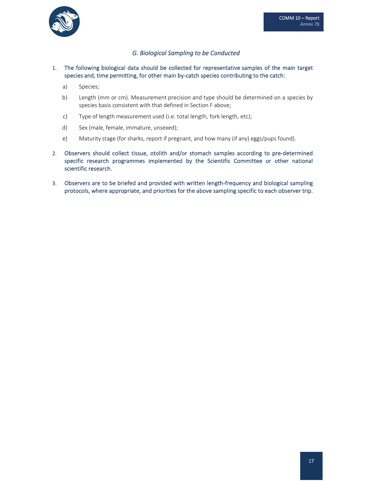

## *G. Biological Sampling to be Conducted*

#### 1. The following biological data should be collected for representative samples of the main target species and, time permitting, for other main by-catch species contributing to the catch:

- a) Species;
- b) Length (mm or cm). Measurement precision and type should be determined on a species by species basis consistent with that defined in Section F above;
- c) Type of length measurement used (i.e. total length, fork length, etc);
- d) Sex (male, female, immature, unsexed);
- e) Maturity stage (for sharks, report if pregnant, and how many (if any) eggs/pups found).
- 2. Observers should collect tissue, otolith and/or stomach samples according to pre-determined specific research programmes implemented by the Scientific Committee or other national scientific research.
- 3. Observers are to be briefed and provided with written length‐frequency and biological sampling protocols, where appropriate, and priorities for the above sampling specific to each observer trip.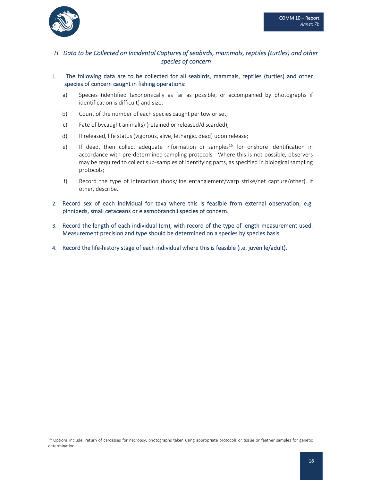

## H. Data to be Collected on Incidental Captures of seabirds, mammals, reptiles (turtles) and other *species of concern*

- 1. The following data are to be collected for all seabirds, mammals, reptiles (turtles) and other species of concern caught in fishing operations:
	- a) Species (identified taxonomically as far as possible, or accompanied by photographs if identification is difficult) and size;
	- b) Count of the number of each species caught per tow or set;
	- c) Fate of bycaught animal(s) (retained or released/discarded);
	- d) If released, life status (vigorous, alive, lethargic, dead) upon release;
	- e) If dead, then collect adequate information or samples<sup>16</sup> for onshore identification in accordance with pre‐determined sampling protocols. Where this is not possible, observers may be required to collect sub‐samples of identifying parts, as specified in biological sampling protocols;
	- f) Record the type of interaction (hook/line entanglement/warp strike/net capture/other). If other, describe.
- 2. Record sex of each individual for taxa where this is feasible from external observation, e.g. pinnipeds, small cetaceans or elasmobranchii species of concern.
- 3. Record the length of each individual (cm), with record of the type of length measurement used. Measurement precision and type should be determined on a species by species basis.
- 4. Record the life-history stage of each individual where this is feasible (i.e. juvenile/adult).

<sup>&</sup>lt;sup>16</sup> Options include: return of carcasses for necropsy, photographs taken using appropriate protocols or tissue or feather samples for genetic determination.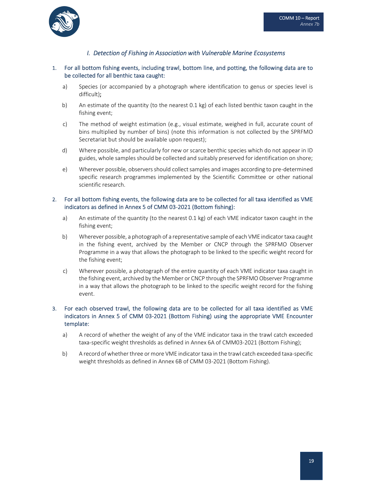

## *I. Detection of Fishing in Association with Vulnerable Marine Ecosystems*

#### 1. For all bottom fishing events, including trawl, bottom line, and potting, the following data are to be collected for all benthic taxa caught:

- a) Species (or accompanied by a photograph where identification to genus or species level is difficult);
- b) An estimate of the quantity (to the nearest 0.1 kg) of each listed benthic taxon caught in the fishing event;
- c) The method of weight estimation (e.g., visual estimate, weighed in full, accurate count of bins multiplied by number of bins) (note this information is not collected by the SPRFMO Secretariat but should be available upon request);
- d) Where possible, and particularly for new or scarce benthic species which do not appear in ID guides, whole samples should be collected and suitably preserved for identification on shore;
- e) Wherever possible, observersshould collectsamples and images according to pre‐determined specific research programmes implemented by the Scientific Committee or other national scientific research.

#### 2. For all bottom fishing events, the following data are to be collected for all taxa identified as VME indicators as defined in Annex 5 of CMM 03‐2021 (Bottom fishing):

- a) An estimate of the quantity (to the nearest 0.1 kg) of each VME indicator taxon caught in the fishing event;
- b) Wherever possible, a photograph of a representative sample of each VME indicator taxa caught in the fishing event, archived by the Member or CNCP through the SPRFMO Observer Programme in a way that allows the photograph to be linked to the specific weight record for the fishing event;
- c) Wherever possible, a photograph of the entire quantity of each VME indicator taxa caught in the fishing event, archived by the Member or CNCP through the SPRFMO Observer Programme in a way that allows the photograph to be linked to the specific weight record for the fishing event.

#### 3. For each observed trawl, the following data are to be collected for all taxa identified as VME indicators in Annex 5 of CMM 03-2021 (Bottom Fishing) using the appropriate VME Encounter template:

- a) A record of whether the weight of any of the VME indicator taxa in the trawl catch exceeded taxa‐specific weight thresholds as defined in Annex 6A of CMM03‐2021 (Bottom Fishing);
- b) A record of whether three or more VME indicator taxa in the trawl catch exceeded taxa-specific weight thresholds as defined in Annex 6B of CMM 03‐2021 (Bottom Fishing).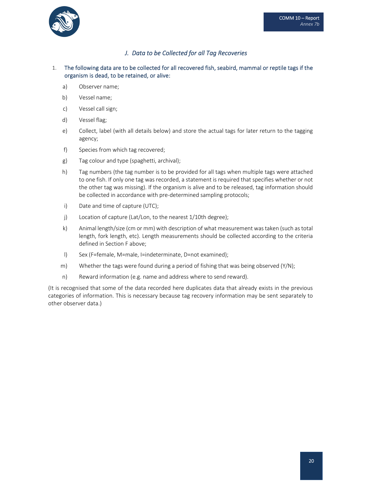

## *J. Data to be Collected for all Tag Recoveries*

## 1. The following data are to be collected for all recovered fish, seabird, mammal or reptile tags if the organism is dead, to be retained, or alive:

- a) Observer name;
- b) Vessel name;
- c) Vessel call sign;
- d) Vessel flag;
- e) Collect, label (with all details below) and store the actual tags for later return to the tagging agency;
- f) Species from which tag recovered;
- g) Tag colour and type (spaghetti, archival);
- h) Tag numbers (the tag number is to be provided for all tags when multiple tags were attached to one fish. If only one tag was recorded, a statement is required that specifies whether or not the other tag was missing). If the organism is alive and to be released, tag information should be collected in accordance with pre-determined sampling protocols;
- i) Date and time of capture (UTC);
- j) Location of capture (Lat/Lon, to the nearest 1/10th degree);
- k) Animal length/size (cm or mm) with description of what measurement wastaken (such astotal length, fork length, etc). Length measurements should be collected according to the criteria defined in Section F above;
- l) Sex (F=female, M=male, I=indeterminate, D=not examined);
- m) Whether the tags were found during a period of fishing that was being observed  $(Y/N)$ ;
- n) Reward information (e.g. name and address where to send reward).

(It is recognised that some of the data recorded here duplicates data that already exists in the previous categories of information. This is necessary because tag recovery information may be sent separately to other observer data.)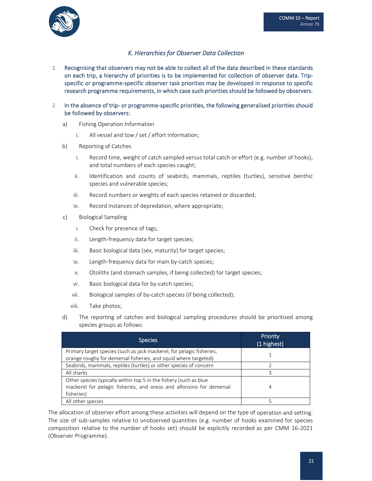

## *K. Hierarchies for Observer Data Collection*

- 1. Recognising that observers may not be able to collect all of the data described in these standards on each trip, a hierarchy of priorities is to be implemented for collection of observer data. Trip‐ specific or programme‐specific observer task priorities may be developed in response to specific research programme requirements, in which case such priorities should be followed by observers.
- 2. In the absence of trip‐ or programme‐specific priorities, the following generalised priorities should be followed by observers:
	- a) Fishing Operation Information
		- i. All vessel and tow / set / effort information;
	- b) Reporting of Catches
		- i. Record time, weight of catch sampled versus total catch or effort (e.g. number of hooks), and total numbers of each species caught;
		- ii. Identification and counts of seabirds, mammals, reptiles (turtles), sensitive benthic species and vulnerable species;
		- iii. Record numbers or weights of each species retained or discarded;
		- iv. Record instances of depredation, where appropriate;
	- c) Biological Sampling
		- i. Check for presence of tags;
		- ii. Length‐frequency data for target species;
		- iii. Basic biological data (sex, maturity) for target species;
		- iv. Length‐frequency data for main by‐catch species;
		- v. Otoliths (and stomach samples, if being collected) for target species;
		- vi. Basic biological data for by-catch species;
		- vii. Biological samples of by‐catch species (if being collected);
		- viii. Take photos;
	- d) The reporting of catches and biological sampling procedures should be prioritised among species groups as follows:

| <b>Species</b>                                                                                                                                          | Priority<br>(1 highest) |
|---------------------------------------------------------------------------------------------------------------------------------------------------------|-------------------------|
| Primary target species (such as jack mackerel, for pelagic fisheries,<br>orange roughy for demersal fisheries, and squid where targeted)                |                         |
| Seabirds, mammals, reptiles (turtles) or other species of concern                                                                                       |                         |
| All sharks                                                                                                                                              |                         |
| Other species typically within top 5 in the fishery (such as blue<br>mackerel for pelagic fisheries, and oreos and alfonsino for demersal<br>fisheries) | 4                       |
| All other species                                                                                                                                       |                         |

The allocation of observer effort among these activities will depend on the type of operation and setting. The size of sub-samples relative to unobserved quantities (e.g. number of hooks examined for species composition relative to the number of hooks set) should be explicitly recorded as per CMM 16‐2021 (Observer Programme).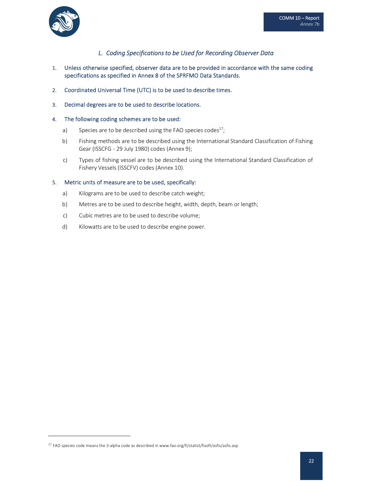

## *L. Coding Specifications to be Used for Recording Observer Data*

- 1. Unless otherwise specified, observer data are to be provided in accordance with the same coding specifications as specified in Annex 8 of the SPRFMO Data Standards.
- 2. Coordinated Universal Time (UTC) is to be used to describe times.
- 3. Decimal degrees are to be used to describe locations.

#### 4. The following coding schemes are to be used:

- a) Species are to be described using the FAO species codes<sup>17</sup>;
- b) Fishing methods are to be described using the International Standard Classification of Fishing Gear (ISSCFG ‐ 29 July 1980) codes (Annex 9);
- c) Types of fishing vessel are to be described using the International Standard Classification of Fishery Vessels (ISSCFV) codes (Annex 10).

#### 5. Metric units of measure are to be used, specifically:

- a) Kilograms are to be used to describe catch weight;
- b) Metres are to be used to describe height, width, depth, beam or length;
- c) Cubic metres are to be used to describe volume;
- d) Kilowatts are to be used to describe engine power.

<sup>&</sup>lt;sup>17</sup> FAO species code means the 3-alpha code as described in www.fao.org/fi/statist/fisoft/asfis/asfis.asp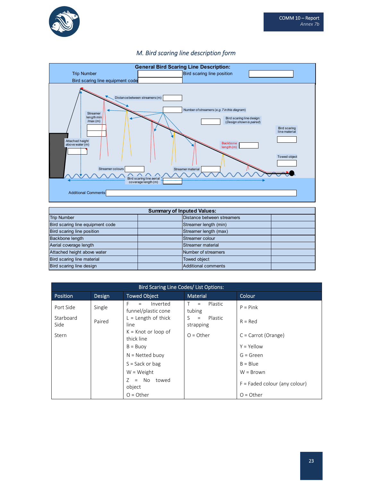

## *M. Bird scaring line description form*



| <b>Summary of Inputed Values:</b> |  |                            |  |
|-----------------------------------|--|----------------------------|--|
| <b>Trip Number</b>                |  | Distance between streamers |  |
| Bird scaring line equipment code  |  | Streamer length (min)      |  |
| Bird scaring line position        |  | Streamer length (max)      |  |
| <b>Backbone length</b>            |  | Streamer colour            |  |
| Aerial coverage length            |  | Streamer material          |  |
| Attached height above water       |  | Number of streamers        |  |
| Bird scaring line material        |  | Towed object               |  |
| Bird scaring line design          |  | <b>Additional comments</b> |  |

| Bird Scaring Line Codes/ List Options: |        |                                              |                                   |                                 |
|----------------------------------------|--------|----------------------------------------------|-----------------------------------|---------------------------------|
| <b>Position</b>                        | Design | <b>Towed Object</b>                          | <b>Material</b>                   | Colour                          |
| Port Side                              | Single | F.<br>Inverted<br>$=$<br>funnel/plastic cone | Plastic<br>$T =$<br>tubing        | $P = Pink$                      |
| Starboard<br>Side                      | Paired | $L =$ Length of thick<br>line                | Plastic<br>S.<br>$=$<br>strapping | $R = Red$                       |
| Stern                                  |        | $K =$ Knot or loop of<br>thick line          | $O = Other$                       | C = Carrot (Orange)             |
|                                        |        | $B = B$ uov                                  |                                   | $Y = Y$ ellow                   |
|                                        |        | $N = Netted buoy$                            |                                   | $G = Green$                     |
|                                        |        | $S = Sack$ or bag                            |                                   | $B = Blue$                      |
|                                        |        | $W = Weight$                                 |                                   | $W = Brown$                     |
|                                        |        | $Z = No$ towed<br>object                     |                                   | $F =$ Faded colour (any colour) |
|                                        |        | $Q = 0$ ther                                 |                                   | $Q = 0$ ther                    |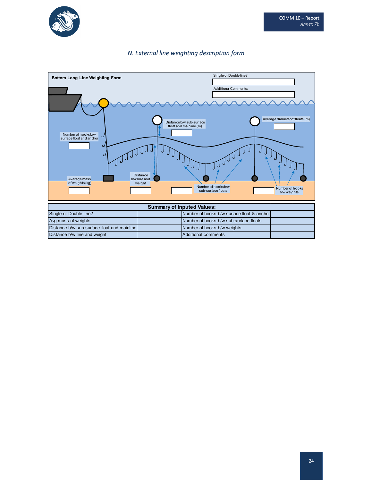

## *N. External line weighting description form*

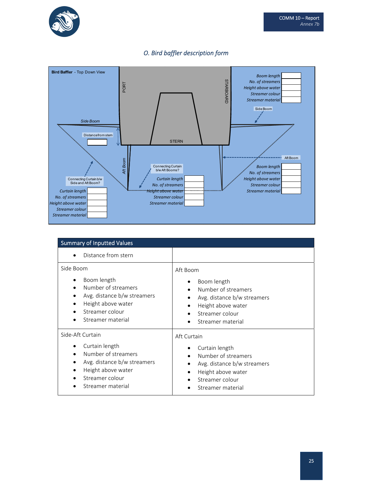





| <b>Summary of Inputted Values</b>                                                                                                                                                  |                                                                                                                                                   |
|------------------------------------------------------------------------------------------------------------------------------------------------------------------------------------|---------------------------------------------------------------------------------------------------------------------------------------------------|
| Distance from stern                                                                                                                                                                |                                                                                                                                                   |
| Side Boom<br>Boom length<br>٠<br>Number of streamers<br>$\bullet$<br>Avg. distance b/w streamers<br>٠<br>Height above water<br>٠<br>Streamer colour<br>Streamer material           | Aft Boom<br>Boom length<br>Number of streamers<br>Avg. distance b/w streamers<br>Height above water<br>Streamer colour<br>Streamer material       |
| Side-Aft Curtain<br>Curtain length<br>٠<br>Number of streamers<br>$\bullet$<br>Avg. distance b/w streamers<br>٠<br>Height above water<br>٠<br>Streamer colour<br>Streamer material | Aft Curtain<br>Curtain length<br>Number of streamers<br>Avg. distance b/w streamers<br>Height above water<br>Streamer colour<br>Streamer material |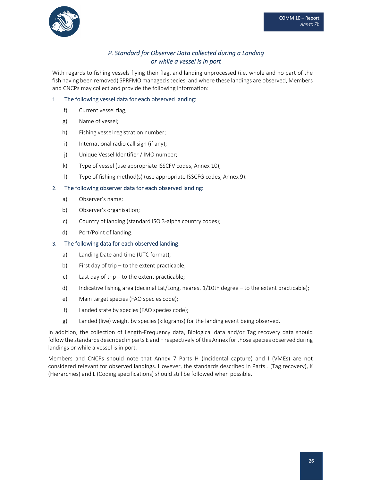

## *P. Standard for Observer Data collected during a Landing or while a vessel is in port*

With regards to fishing vessels flying their flag, and landing unprocessed (i.e. whole and no part of the fish having been removed) SPRFMO managed species, and where these landings are observed, Members and CNCPs may collect and provide the following information:

### 1. The following vessel data for each observed landing:

- f) Current vessel flag;
- g) Name of vessel;
- h) Fishing vessel registration number;
- i) International radio call sign (if any);
- j) Unique Vessel Identifier / IMO number;
- k) Type of vessel (use appropriate ISSCFV codes, Annex 10);
- l) Type of fishing method(s) (use appropriate ISSCFG codes, Annex 9).

#### 2. The following observer data for each observed landing:

- a) Observer's name;
- b) Observer's organisation;
- c) Country of landing (standard ISO 3‐alpha country codes);
- d) Port/Point of landing.

#### 3. The following data for each observed landing:

- a) Landing Date and time (UTC format);
- b) First day of trip to the extent practicable;
- c) Last day of trip to the extent practicable;
- d) Indicative fishing area (decimal Lat/Long, nearest 1/10th degree to the extent practicable);
- e) Main target species (FAO species code);
- f) Landed state by species (FAO species code);
- g) Landed (live) weight by species (kilograms) for the landing event being observed.

In addition, the collection of Length‐Frequency data, Biological data and/or Tag recovery data should follow the standards described in parts E and F respectively of this Annex for those species observed during landings or while a vessel is in port.

Members and CNCPs should note that Annex 7 Parts H (Incidental capture) and I (VMEs) are not considered relevant for observed landings. However, the standards described in Parts J (Tag recovery), K (Hierarchies) and L (Coding specifications) should still be followed when possible.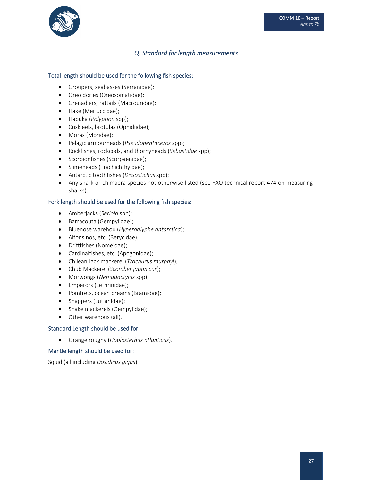

## *Q. Standard for length measurements*

#### Total length should be used for the following fish species:

- Groupers, seabasses (Serranidae);
- Oreo dories (Oreosomatidae);
- Grenadiers, rattails (Macrouridae);
- Hake (Merluccidae);
- Hapuka (*Polyprion* spp);
- Cusk eels, brotulas (Ophidiidae);
- Moras (Moridae);
- Pelagic armourheads (*Pseudopentaceros* spp);
- Rockfishes, rockcods, and thornyheads (*Sebastidae* spp);
- Scorpionfishes (Scorpaenidae);
- Slimeheads (Trachichthyidae);
- Antarctic toothfishes (*Dissostichus* spp);
- Any shark or chimaera species not otherwise listed (see FAO technical report 474 on measuring sharks).

#### Fork length should be used for the following fish species:

- Amberjacks (*Seriola* spp);
- Barracouta (Gempylidae);
- Bluenose warehou (*Hyperoglyphe antarctica*);
- Alfonsinos, etc. (Berycidae);
- Driftfishes (Nomeidae);
- Cardinalfishes, etc. (Apogonidae);
- Chilean Jack mackerel (*Trachurus murphyi*);
- Chub Mackerel (*Scomber japonicus*);
- Morwongs (*Nemadactylus* spp);
- Emperors (Lethrinidae);
- Pomfrets, ocean breams (Bramidae);
- Snappers (Lutjanidae);
- Snake mackerels (Gempylidae);
- Other warehous (all).

#### Standard Length should be used for:

Orange roughy (*Hoplostethus atlanticus*).

#### Mantle length should be used for:

Squid (all including *Dosidicus gigas*).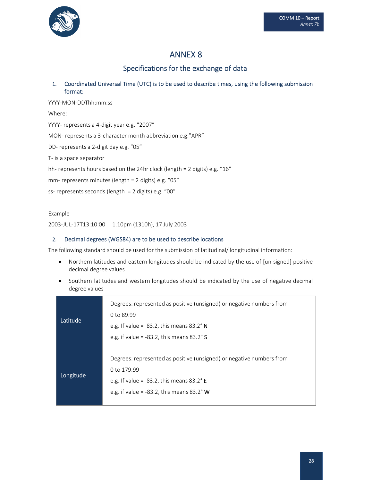

Specifications for the exchange of data

## 1. Coordinated Universal Time (UTC) is to be used to describe times, using the following submission format:

YYYY‐MON‐DDThh:mm:ss Where: YYYY‐ represents a 4‐digit year e.g. "2007" MON‐ represents a 3‐character month abbreviation e.g."APR" DD‐ represents a 2‐digit day e.g. "05" T‐ is a space separator hh- represents hours based on the 24hr clock (length = 2 digits) e.g. "16" mm‐ represents minutes (length = 2 digits) e.g. "05" ss‐ represents seconds (length = 2 digits) e.g. "00"

#### Example

2003‐JUL‐17T13:10:00 1.10pm (1310h), 17 July 2003

### 2. Decimal degrees (WGS84) are to be used to describe locations

The following standard should be used for the submission of latitudinal/ longitudinal information:

- Northern latitudes and eastern longitudes should be indicated by the use of [un-signed] positive decimal degree values
- Southern latitudes and western longitudes should be indicated by the use of negative decimal degree values

| Latitude  | Degrees: represented as positive (unsigned) or negative numbers from<br>0 to 89.99<br>e.g. If value = $83.2$ , this means $83.2^\circ$ N<br>e.g. if value = -83.2, this means $83.2^\circ$ S |
|-----------|----------------------------------------------------------------------------------------------------------------------------------------------------------------------------------------------|
| Longitude | Degrees: represented as positive (unsigned) or negative numbers from<br>0 to 179.99<br>e.g. If value = $83.2$ , this means $83.2^{\circ}$ E<br>e.g. if value = $-83.2$ , this means 83.2° W  |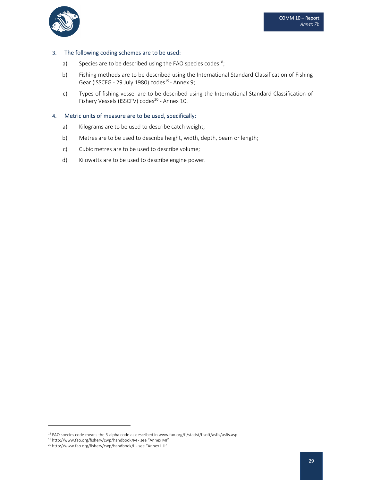

#### 3. The following coding schemes are to be used:

- a) Species are to be described using the FAO species codes<sup>18</sup>;
- b) Fishing methods are to be described using the International Standard Classification of Fishing Gear (ISSCFG - 29 July 1980) codes<sup>19</sup> - Annex 9;
- c) Types of fishing vessel are to be described using the International Standard Classification of Fishery Vessels (ISSCFV) codes<sup>20</sup> - Annex 10.

#### 4. Metric units of measure are to be used, specifically:

- a) Kilograms are to be used to describe catch weight;
- b) Metres are to be used to describe height, width, depth, beam or length;
- c) Cubic metres are to be used to describe volume;
- d) Kilowatts are to be used to describe engine power.

<sup>&</sup>lt;sup>18</sup> FAO species code means the 3-alpha code as described in www.fao.org/fi/statist/fisoft/asfis/asfis.asp

<sup>19</sup> http://www.fao.org/fishery/cwp/handbook/M ‐ see "Annex MI"

<sup>20</sup> http://www.fao.org/fishery/cwp/handbook/L ‐ see "Annex L.II"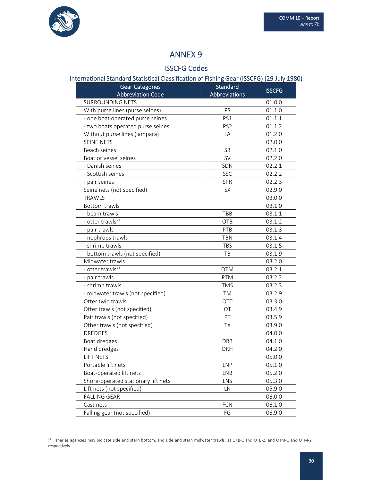

## ISSCFG Codes

# International Standard Statistical Classification of Fishing Gear (ISSCFG) (29 July 1980)

| <b>Gear Categories</b>              | <b>Standard</b> | <b>ISSCFG</b> |
|-------------------------------------|-----------------|---------------|
| <b>Abbreviation Code</b>            | Abbreviations   |               |
| <b>SURROUNDING NETS</b>             |                 | 01.0.0        |
| With purse lines (purse seines)     | PS              | 01.1.0        |
| - one boat operated purse seines    | PS1             | 01.1.1        |
| - two boats operated purse seines   | PS <sub>2</sub> | 01.1.2        |
| Without purse lines (lampara)       | LA              | 01.2.0        |
| <b>SEINE NETS</b>                   |                 | 02.0.0        |
| Beach seines                        | <b>SB</b>       | 02.1.0        |
| Boat or vessel seines               | <b>SV</b>       | 02.2.0        |
| - Danish seines                     | SDN             | 02.2.1        |
| - Scottish seines                   | SSC             | 02.2.2        |
| - pair seines                       | <b>SPR</b>      | 02.2.3        |
| Seine nets (not specified)          | <b>SX</b>       | 02.9.0        |
| <b>TRAWLS</b>                       |                 | 03.0.0        |
| <b>Bottom trawls</b>                |                 | 03.1.0        |
| - beam trawls                       | TBB             | 03.1.1        |
| - otter trawls <sup>21</sup>        | <b>OTB</b>      | 03.1.2        |
| - pair trawls                       | PTB             | 03.1.3        |
| - nephrops trawls                   | <b>TBN</b>      | 03.1.4        |
| - shrimp trawls                     | <b>TBS</b>      | 03.1.5        |
| - bottom trawls (not specified)     | TB              | 03.1.9        |
| Midwater trawls                     |                 | 03.2.0        |
| - otter trawls <sup>21</sup>        | <b>OTM</b>      | 03.2.1        |
| - pair trawls                       | <b>PTM</b>      | 03.2.2        |
| - shrimp trawls                     | <b>TMS</b>      | 03.2.3        |
| - midwater trawls (not specified)   | TM              | 03.2.9        |
| Otter twin trawls                   | OTT             | 03.3.0        |
| Otter trawls (not specified)        | OT              | 03.4.9        |
| Pair trawls (not specified)         | PT              | 03.5.9        |
| Other trawls (not specified)        | TX              | 03.9.0        |
| <b>DREDGES</b>                      |                 | 04.0.0        |
| Boat dredges                        | <b>DRB</b>      | 04.1.0        |
| Hand dredges                        | <b>DRH</b>      | 04.2.0        |
| LIFT NETS                           |                 | 05.0.0        |
| Portable lift nets                  | <b>LNP</b>      | 05.1.0        |
| Boat-operated lift nets             | <b>LNB</b>      | 05.2.0        |
| Shore-operated stationary lift nets | LNS             | 05.3.0        |
| Lift nets (not specified)           | LN              | 05.9.0        |
| <b>FALLING GEAR</b>                 |                 | 06.0.0        |
| Cast nets                           | FCN             | 06.1.0        |
| Falling gear (not specified)        | FG              | 06.9.0        |

 $^{21}$  Fisheries agencies may indicate side and stern bottom, and side and stern midwater trawls, as OTB-1 and OTB-2, and OTM-1 and OTM-2, respectively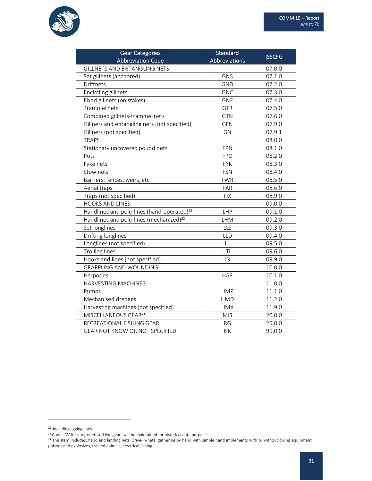

| <b>Gear Categories</b><br><b>Abbreviation Code</b>     | <b>Standard</b><br>Abbreviations | <b>ISSCFG</b> |
|--------------------------------------------------------|----------------------------------|---------------|
| <b>GILLNETS AND ENTANGLING NETS</b>                    |                                  | 07.0.0        |
| Set gillnets (anchored)                                | GNS                              | 07.1.0        |
| <b>Driftnets</b>                                       | <b>GND</b>                       | 07.2.0        |
| Encircling gillnets                                    | <b>GNC</b>                       | 07.3.0        |
| Fixed gillnets (on stakes)                             | <b>GNF</b>                       | 07.4.0        |
| Trammel nets                                           | <b>GTR</b>                       | 07.5.0        |
| Combined gillnets-trammel nets                         | <b>GTN</b>                       | 07.6.0        |
| Gillnets and entangling nets (not specified)           | <b>GEN</b>                       | 07.9.0        |
| Gillnets (not specified)                               | GN                               | 07.9.1        |
| <b>TRAPS</b>                                           |                                  | 08.0.0        |
| Stationary uncovered pound nets                        | <b>FPN</b>                       | 08.1.0        |
| Pots                                                   | <b>FPO</b>                       | 08.2.0        |
| Fyke nets                                              | <b>FYK</b>                       | 08.3.0        |
| Stow nets                                              | <b>FSN</b>                       | 08.4.0        |
| Barriers, fences, weirs, etc.                          | <b>FWR</b>                       | 08.5.0        |
| Aerial traps                                           | FAR                              | 08.6.0        |
| Traps (not specified)                                  | <b>FIX</b>                       | 08.9.0        |
| <b>HOOKS AND LINES</b>                                 |                                  | 09.0.0        |
| Handlines and pole-lines (hand-operated) <sup>22</sup> | LHP                              | 09.1.0        |
| Handlines and pole-lines (mechanized) <sup>23</sup>    | LHM                              | 09.2.0        |
| Set longlines                                          | LLS                              | 09.3.0        |
| Drifting longlines                                     | LLD                              | 09.4.0        |
| Longlines (not specified)                              | LL                               | 09.5.0        |
| <b>Trolling lines</b>                                  | LTL                              | 09.6.0        |
| Hooks and lines (not specified)                        | <b>LX</b>                        | 09.9.0        |
| <b>GRAPPLING AND WOUNDING</b>                          |                                  | 10.0.0        |
| Harpoons                                               | <b>HAR</b>                       | 10.1.0        |
| HARVESTING MACHINES                                    |                                  | 11.0.0        |
| Pumps                                                  | <b>HMP</b>                       | 11.1.0        |
| Mechanised dredges                                     | <b>HMD</b>                       | 11.2.0        |
| Harvesting machines (not specified)                    | <b>HMX</b>                       | 11.9.0        |
| MISCELLANEOUS GEAR <sup>24</sup>                       | <b>MIS</b>                       | 20.0.0        |
| RECREATIONAL FISHING GEAR                              | <b>RG</b>                        | 25.0.0        |
| GEAR NOT KNOW OR NOT SPECIFIED                         | <b>NK</b>                        | 99.0.0        |

<sup>22</sup> Including jigging lines

<sup>&</sup>lt;sup>23</sup> Code LDV for dory-operated line gears will be maintained for historical data purposes

<sup>&</sup>lt;sup>24</sup> This item includes: hand and landing nets, drive-in-nets, gathering by hand with simple hand implements with or without diving equipment, poisons and explosives, trained animals, electrical fishing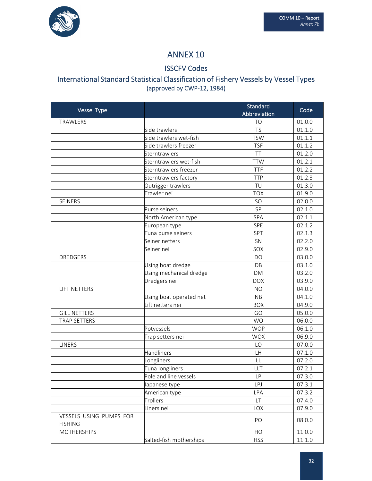

## ISSCFV Codes

## International Standard Statistical Classification of Fishery Vessels by Vessel Types (approved by CWP‐12, 1984)

| <b>Vessel Type</b>                        |                         | Standard<br>Abbreviation | Code   |
|-------------------------------------------|-------------------------|--------------------------|--------|
| TRAWLERS                                  |                         | T <sub>O</sub>           | 01.0.0 |
|                                           | Side trawlers           | <b>TS</b>                | 01.1.0 |
|                                           | Side trawlers wet-fish  | <b>TSW</b>               | 01.1.1 |
|                                           | Side trawlers freezer   | <b>TSF</b>               | 01.1.2 |
|                                           | Sterntrawlers           | TT                       | 01.2.0 |
|                                           | Sterntrawlers wet-fish  | <b>TTW</b>               | 01.2.1 |
|                                           | Sterntrawlers freezer   | <b>TTF</b>               | 01.2.2 |
|                                           | Sterntrawlers factory   | <b>TTP</b>               | 01.2.3 |
|                                           | Outrigger trawlers      | TU                       | 01.3.0 |
|                                           | Trawler nei             | <b>TOX</b>               | 01.9.0 |
| SEINERS                                   |                         | SO                       | 02.0.0 |
|                                           | Purse seiners           | SP                       | 02.1.0 |
|                                           | North American type     | SPA                      | 02.1.1 |
|                                           | European type           | SPE                      | 02.1.2 |
|                                           | Tuna purse seiners      | SPT                      | 02.1.3 |
|                                           | Seiner netters          | SN                       | 02.2.0 |
|                                           | Seiner nei              | SOX                      | 02.9.0 |
| <b>DREDGERS</b>                           |                         | DO                       | 03.0.0 |
|                                           | Using boat dredge       | DB                       | 03.1.0 |
|                                           | Using mechanical dredge | <b>DM</b>                | 03.2.0 |
|                                           | Dredgers nei            | <b>DOX</b>               | 03.9.0 |
| <b>LIFT NETTERS</b>                       |                         | <b>NO</b>                | 04.0.0 |
|                                           | Using boat operated net | <b>NB</b>                | 04.1.0 |
|                                           | Lift netters nei        | <b>BOX</b>               | 04.9.0 |
| <b>GILL NETTERS</b>                       |                         | GO                       | 05.0.0 |
| <b>TRAP SETTERS</b>                       |                         | <b>WO</b>                | 06.0.0 |
|                                           | Potvessels              | <b>WOP</b>               | 06.1.0 |
|                                           | Trap setters nei        | <b>WOX</b>               | 06.9.0 |
| <b>LINERS</b>                             |                         | LO                       | 07.0.0 |
|                                           | Handliners              | LH                       | 07.1.0 |
|                                           | Longliners              | LL                       | 07.2.0 |
|                                           | Tuna longliners         | LLT                      | 07.2.1 |
|                                           | Pole and line vessels   | LP.                      | 07.3.0 |
|                                           | Japanese type           | <b>LPJ</b>               | 07.3.1 |
|                                           | American type           | LPA                      | 07.3.2 |
|                                           | Trollers                | <b>LT</b>                | 07.4.0 |
|                                           | Liners nei              | LOX                      | 07.9.0 |
| VESSELS USING PUMPS FOR<br><b>FISHING</b> |                         | PO                       | 08.0.0 |
| <b>MOTHERSHIPS</b>                        |                         | HO                       | 11.0.0 |
|                                           | Salted-fish motherships | <b>HSS</b>               | 11.1.0 |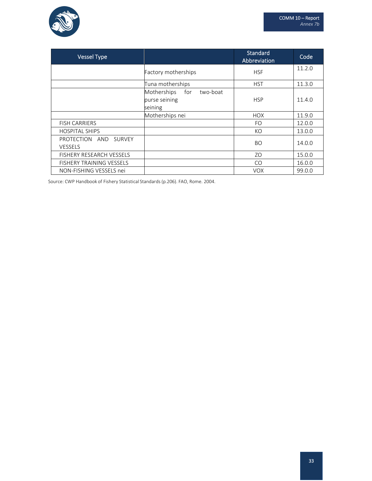

| <b>Vessel Type</b>                            |                                                            | <b>Standard</b><br>Abbreviation | Code   |
|-----------------------------------------------|------------------------------------------------------------|---------------------------------|--------|
|                                               | Factory motherships                                        | <b>HSF</b>                      | 11.2.0 |
|                                               | Tuna motherships                                           | <b>HST</b>                      | 11.3.0 |
|                                               | Motherships<br>two-boat<br>for<br>purse seining<br>seining | <b>HSP</b>                      | 11.4.0 |
|                                               | Motherships nei                                            | <b>HOX</b>                      | 11.9.0 |
| <b>FISH CARRIERS</b>                          |                                                            | FO.                             | 12.0.0 |
| <b>HOSPITAL SHIPS</b>                         |                                                            | KO                              | 13.0.0 |
| PROTECTION<br>AND<br>SURVEY<br><b>VESSELS</b> |                                                            | <b>BO</b>                       | 14.0.0 |
| <b>FISHERY RESEARCH VESSELS</b>               |                                                            | ZO                              | 15.0.0 |
| <b>FISHERY TRAINING VESSELS</b>               |                                                            | CO <sub>1</sub>                 | 16.0.0 |
| NON-FISHING VESSELS nei                       |                                                            | <b>VOX</b>                      | 99.0.0 |

Source: CWP Handbook of Fishery Statistical Standards(p.206). FAO, Rome. 2004.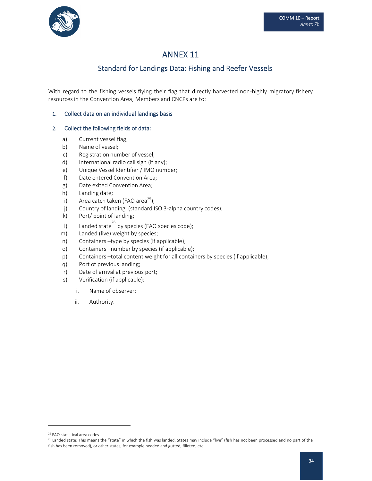

## Standard for Landings Data: Fishing and Reefer Vessels

With regard to the fishing vessels flying their flag that directly harvested non-highly migratory fishery resources in the Convention Area, Members and CNCPs are to:

## 1. Collect data on an individual landings basis

## 2. Collect the following fields of data:

- a) Current vessel flag;
- b) Name of vessel;
- c) Registration number of vessel;
- d) International radio call sign (if any);
- e) Unique Vessel Identifier / IMO number;
- f) Date entered Convention Area;
- g) Date exited Convention Area;
- h) Landing date;
- i) Area catch taken (FAO area<sup>25</sup>);
- j) Country of landing (standard ISO 3-alpha country codes);
- k) Port/ point of landing;
- I) Landed state  $^{26}$  by species (FAO species code);
- m) Landed (live) weight by species;
- n) Containers –type by species (if applicable);
- o) Containers –number by species (if applicable);
- p) Containers –total content weight for all containers by species (if applicable);
- q) Port of previous landing;
- r) Date of arrival at previous port;
- s) Verification (if applicable):
	- i. Name of observer;
	- ii. Authority.

<sup>25</sup> FAO statistical area codes

<sup>&</sup>lt;sup>26</sup> Landed state: This means the "state" in which the fish was landed. States may include "live" (fish has not been processed and no part of the fish has been removed), or other states, for example headed and gutted, filleted, etc.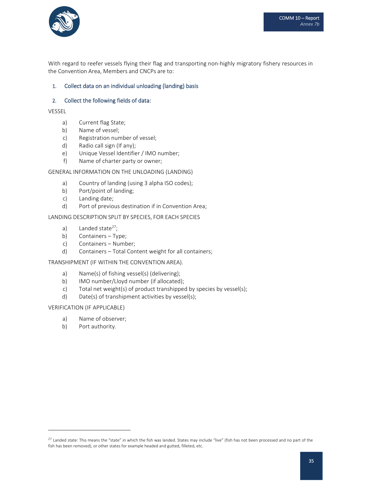

With regard to reefer vessels flying their flag and transporting non-highly migratory fishery resources in the Convention Area, Members and CNCPs are to:

### 1. Collect data on an individual unloading (landing) basis

#### 2. Collect the following fields of data:

VESSEL

- a) Current flag State;
- b) Name of vessel;
- c) Registration number of vessel;
- d) Radio call sign (If any);
- e) Unique Vessel Identifier / IMO number;
- f) Name of charter party or owner;

#### GENERAL INFORMATION ON THE UNLOADING (LANDING)

- a) Country of landing (using 3 alpha ISO codes);
- b) Port/point of landing;
- c) Landing date;
- d) Port of previous destination if in Convention Area;

#### LANDING DESCRIPTION SPLIT BY SPECIES, FOR EACH SPECIES

- a) Landed state $27$ ;
- b) Containers Type;
- c) Containers Number;
- d) Containers Total Content weight for all containers;

#### TRANSHIPMENT (IF WITHIN THE CONVENTION AREA).

- a) Name(s) of fishing vessel(s) (delivering);
- b) IMO number/Lloyd number (if allocated);
- c) Total net weight(s) of product transhipped by species by vessel(s);
- d) Date(s) of transhipment activities by vessel(s);

#### VERIFICATION (IF APPLICABLE)

- a) Name of observer;
- b) Port authority.

<sup>&</sup>lt;sup>27</sup> Landed state: This means the "state" in which the fish was landed. States may include "live" (fish has not been processed and no part of the fish has been removed), or other states for example headed and gutted, filleted, etc.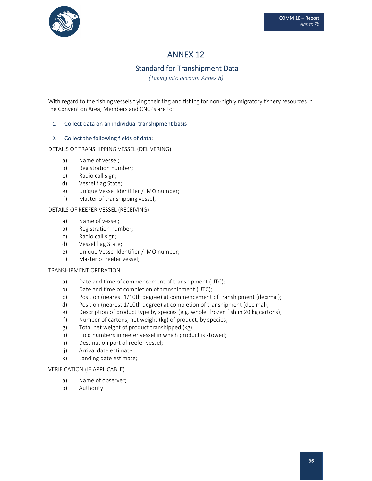

## Standard for Transhipment Data

*(Taking into account Annex 8)*

With regard to the fishing vessels flying their flag and fishing for non-highly migratory fishery resources in the Convention Area, Members and CNCPs are to:

## 1. Collect data on an individual transhipment basis

#### 2. Collect the following fields of data:

DETAILS OF TRANSHIPPING VESSEL (DELIVERING)

- a) Name of vessel;
- b) Registration number;
- c) Radio call sign;
- d) Vessel flag State;
- e) Unique Vessel Identifier / IMO number;
- f) Master of transhipping vessel;

#### DETAILS OF REEFER VESSEL (RECEIVING)

- a) Name of vessel;
- b) Registration number;
- c) Radio call sign;
- d) Vessel flag State;
- e) Unique Vessel Identifier / IMO number;
- f) Master of reefer vessel;

#### TRANSHIPMENT OPERATION

- a) Date and time of commencement of transhipment (UTC);
- b) Date and time of completion of transhipment (UTC);
- c) Position (nearest 1/10th degree) at commencement of transhipment (decimal);
- d) Position (nearest 1/10th degree) at completion of transhipment (decimal);
- e) Description of product type by species (e.g. whole, frozen fish in 20 kg cartons);
- f) Number of cartons, net weight (kg) of product, by species;
- g) Total net weight of product transhipped (kg);
- h) Hold numbers in reefer vessel in which product is stowed;
- i) Destination port of reefer vessel;
- j) Arrival date estimate;
- k) Landing date estimate;

#### VERIFICATION (IF APPLICABLE)

- a) Name of observer;
- b) Authority.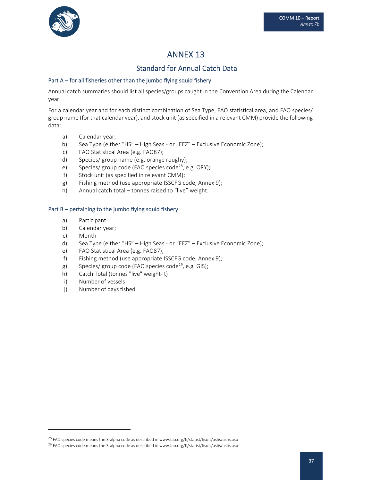

## Standard for Annual Catch Data

## Part A – for all fisheries other than the jumbo flying squid fishery

Annual catch summaries should list all species/groups caught in the Convention Area during the Calendar year.

For a calendar year and for each distinct combination of Sea Type, FAO statistical area, and FAO species/ group name (for that calendar year), and stock unit (as specified in a relevant CMM) provide the following data:

- a) Calendar year;
- b) Sea Type (either "HS" High Seas or "EEZ" Exclusive Economic Zone);
- c) FAO Statistical Area (e.g. FAO87);
- d) Species/ group name (e.g. orange roughy);
- e) Species/ group code (FAO species code<sup>28</sup>, e.g. ORY);
- f) Stock unit (as specified in relevant CMM);
- g) Fishing method (use appropriate ISSCFG code, Annex 9);
- h) Annual catch total tonnes raised to "live" weight.

#### Part B – pertaining to the jumbo flying squid fishery

- a) Participant
- b) Calendar year;
- c) Month
- d) Sea Type (either "HS" High Seas ‐ or "EEZ" Exclusive Economic Zone);
- e) FAO Statistical Area (e.g. FAO87);
- f) Fishing method (use appropriate ISSCFG code, Annex 9);
- g) Species/ group code (FAO species code<sup>29</sup>, e.g. GIS);
- h) Catch Total (tonnes "live" weight‐ t)
- i) Number of vessels
- j) Number of days fished

<sup>&</sup>lt;sup>28</sup> FAO species code means the 3-alpha code as described in www.fao.org/fi/statist/fisoft/asfis/asfis.asp

<sup>&</sup>lt;sup>29</sup> FAO species code means the 3-alpha code as described in www.fao.org/fi/statist/fisoft/asfis/asfis.asp